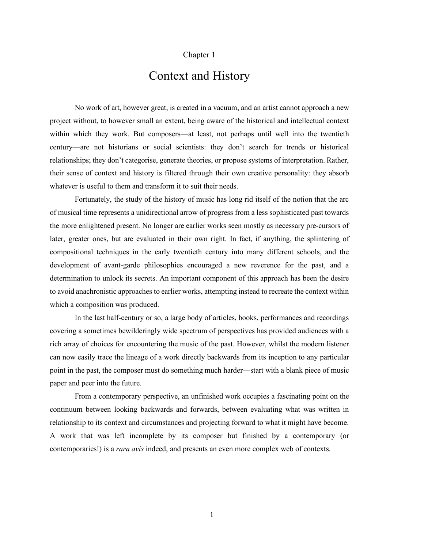## Chapter 1

## Context and History

No work of art, however great, is created in a vacuum, and an artist cannot approach a new project without, to however small an extent, being aware of the historical and intellectual context within which they work. But composers—at least, not perhaps until well into the twentieth century—are not historians or social scientists: they don't search for trends or historical relationships; they don't categorise, generate theories, or propose systems of interpretation. Rather, their sense of context and history is filtered through their own creative personality: they absorb whatever is useful to them and transform it to suit their needs.

Fortunately, the study of the history of music has long rid itself of the notion that the arc of musical time represents a unidirectional arrow of progress from a less sophisticated past towards the more enlightened present. No longer are earlier works seen mostly as necessary pre-cursors of later, greater ones, but are evaluated in their own right. In fact, if anything, the splintering of compositional techniques in the early twentieth century into many different schools, and the development of avant-garde philosophies encouraged a new reverence for the past, and a determination to unlock its secrets. An important component of this approach has been the desire to avoid anachronistic approaches to earlier works, attempting instead to recreate the context within which a composition was produced.

In the last half-century or so, a large body of articles, books, performances and recordings covering a sometimes bewilderingly wide spectrum of perspectives has provided audiences with a rich array of choices for encountering the music of the past. However, whilst the modern listener can now easily trace the lineage of a work directly backwards from its inception to any particular point in the past, the composer must do something much harder—start with a blank piece of music paper and peer into the future.

From a contemporary perspective, an unfinished work occupies a fascinating point on the continuum between looking backwards and forwards, between evaluating what was written in relationship to its context and circumstances and projecting forward to what it might have become. A work that was left incomplete by its composer but finished by a contemporary (or contemporaries!) is a *rara avis* indeed, and presents an even more complex web of contexts.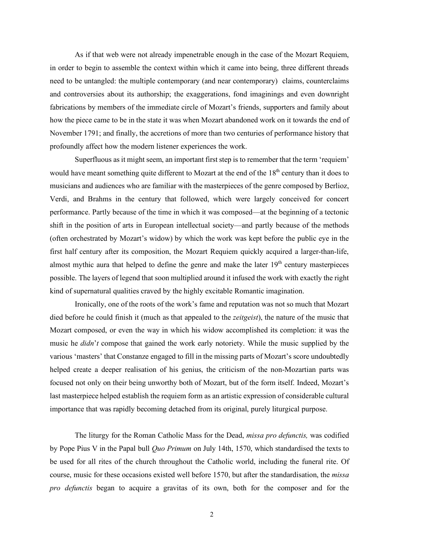As if that web were not already impenetrable enough in the case of the Mozart Requiem, in order to begin to assemble the context within which it came into being, three different threads need to be untangled: the multiple contemporary (and near contemporary) claims, counterclaims and controversies about its authorship; the exaggerations, fond imaginings and even downright fabrications by members of the immediate circle of Mozart's friends, supporters and family about how the piece came to be in the state it was when Mozart abandoned work on it towards the end of November 1791; and finally, the accretions of more than two centuries of performance history that profoundly affect how the modern listener experiences the work.

Superfluous as it might seem, an important first step is to remember that the term 'requiem' would have meant something quite different to Mozart at the end of the  $18<sup>th</sup>$  century than it does to musicians and audiences who are familiar with the masterpieces of the genre composed by Berlioz, Verdi, and Brahms in the century that followed, which were largely conceived for concert performance. Partly because of the time in which it was composed—at the beginning of a tectonic shift in the position of arts in European intellectual society—and partly because of the methods (often orchestrated by Mozart's widow) by which the work was kept before the public eye in the first half century after its composition, the Mozart Requiem quickly acquired a larger-than-life, almost mythic aura that helped to define the genre and make the later  $19<sup>th</sup>$  century masterpieces possible. The layers of legend that soon multiplied around it infused the work with exactly the right kind of supernatural qualities craved by the highly excitable Romantic imagination.

Ironically, one of the roots of the work's fame and reputation was not so much that Mozart died before he could finish it (much as that appealed to the *zeitgeist*), the nature of the music that Mozart composed, or even the way in which his widow accomplished its completion: it was the music he *didn*'*t* compose that gained the work early notoriety. While the music supplied by the various 'masters' that Constanze engaged to fill in the missing parts of Mozart's score undoubtedly helped create a deeper realisation of his genius, the criticism of the non-Mozartian parts was focused not only on their being unworthy both of Mozart, but of the form itself. Indeed, Mozart's last masterpiece helped establish the requiem form as an artistic expression of considerable cultural importance that was rapidly becoming detached from its original, purely liturgical purpose.

The liturgy for the Roman Catholic Mass for the Dead, *missa pro defunctis,* was codified by Pope Pius V in the Papal bull *Quo Primum* on July 14th, 1570, which standardised the texts to be used for all rites of the church throughout the Catholic world, including the funeral rite. Of course, music for these occasions existed well before 1570, but after the standardisation, the *missa pro defunctis* began to acquire a gravitas of its own, both for the composer and for the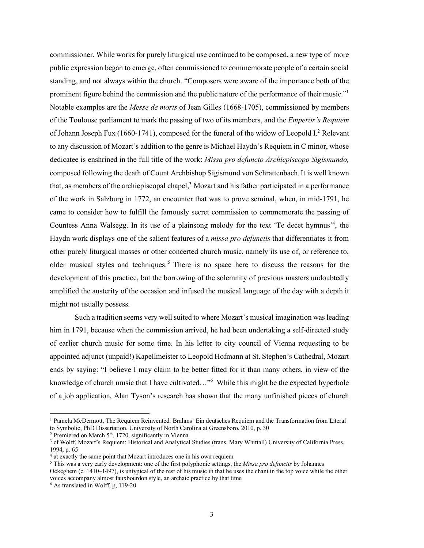commissioner. While works for purely liturgical use continued to be composed, a new type of more public expression began to emerge, often commissioned to commemorate people of a certain social standing, and not always within the church. "Composers were aware of the importance both of the prominent figure behind the commission and the public nature of the performance of their music."1 Notable examples are the *Messe de morts* of Jean Gilles (1668-1705), commissioned by members of the Toulouse parliament to mark the passing of two of its members, and the *Emperor's Requiem* of Johann Joseph Fux (1660-1741), composed for the funeral of the widow of Leopold I.<sup>2</sup> Relevant to any discussion of Mozart's addition to the genre is Michael Haydn's Requiem in C minor, whose dedicatee is enshrined in the full title of the work: *Missa pro defuncto Archiepiscopo Sigismundo,* composed following the death of Count Archbishop Sigismund von Schrattenbach.It is well known that, as members of the archiepiscopal chapel,<sup>3</sup> Mozart and his father participated in a performance of the work in Salzburg in 1772, an encounter that was to prove seminal, when, in mid-1791, he came to consider how to fulfill the famously secret commission to commemorate the passing of Countess Anna Walsegg. In its use of a plainsong melody for the text 'Te decet hymnus<sup>14</sup>, the Haydn work displays one of the salient features of a *missa pro defunctis* that differentiates it from other purely liturgical masses or other concerted church music, namely its use of, or reference to, older musical styles and techniques.<sup>5</sup> There is no space here to discuss the reasons for the development of this practice, but the borrowing of the solemnity of previous masters undoubtedly amplified the austerity of the occasion and infused the musical language of the day with a depth it might not usually possess.

Such a tradition seems very well suited to where Mozart's musical imagination was leading him in 1791, because when the commission arrived, he had been undertaking a self-directed study of earlier church music for some time. In his letter to city council of Vienna requesting to be appointed adjunct (unpaid!) Kapellmeister to Leopold Hofmann at St. Stephen's Cathedral, Mozart ends by saying: "I believe I may claim to be better fitted for it than many others, in view of the knowledge of church music that I have cultivated..."<sup>6</sup> While this might be the expected hyperbole of a job application, Alan Tyson's research has shown that the many unfinished pieces of church

 $2$  Premiered on March  $5<sup>th</sup>$ , 1720, significantly in Vienna

voices accompany almost fauxbourdon style, an archaic practice by that time

 <sup>1</sup> Pamela McDermott, The Requiem Reinvented: Brahms' Ein deutsches Requiem and the Transformation from Literal to Symbolic, PhD Dissertation, University of North Carolina at Greensboro, 2010, p. 30

<sup>3</sup> cf Wolff, Mozart's Requiem: Historical and Analytical Studies (trans. Mary Whittall) University of California Press, 1994, p. 65

<sup>4</sup> at exactly the same point that Mozart introduces one in his own requiem

<sup>5</sup> This was a very early development: one of the first polyphonic settings, the *Missa pro defunctis* by Johannes Ockeghem (c. 1410–1497), is untypical of the rest of his music in that he uses the chant in the top voice while the other

<sup>6</sup> As translated in Wolff, p, 119-20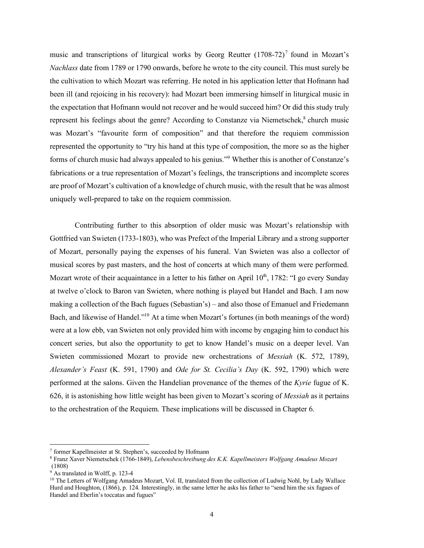music and transcriptions of liturgical works by Georg Reutter  $(1708-72)^7$  found in Mozart's *Nachlass* date from 1789 or 1790 onwards, before he wrote to the city council. This must surely be the cultivation to which Mozart was referring. He noted in his application letter that Hofmann had been ill (and rejoicing in his recovery): had Mozart been immersing himself in liturgical music in the expectation that Hofmann would not recover and he would succeed him? Or did this study truly represent his feelings about the genre? According to Constanze via Niemetschek, $\delta$  church music was Mozart's "favourite form of composition" and that therefore the requiem commission represented the opportunity to "try his hand at this type of composition, the more so as the higher forms of church music had always appealed to his genius."9 Whether this is another of Constanze's fabrications or a true representation of Mozart's feelings, the transcriptions and incomplete scores are proof of Mozart's cultivation of a knowledge of church music, with the result that he was almost uniquely well-prepared to take on the requiem commission.

Contributing further to this absorption of older music was Mozart's relationship with Gottfried van Swieten (1733-1803), who was Prefect of the Imperial Library and a strong supporter of Mozart, personally paying the expenses of his funeral. Van Swieten was also a collector of musical scores by past masters, and the host of concerts at which many of them were performed. Mozart wrote of their acquaintance in a letter to his father on April  $10<sup>th</sup>$ , 1782: "I go every Sunday at twelve o'clock to Baron van Swieten, where nothing is played but Handel and Bach. I am now making a collection of the Bach fugues (Sebastian's) – and also those of Emanuel and Friedemann Bach, and likewise of Handel."<sup>10</sup> At a time when Mozart's fortunes (in both meanings of the word) were at a low ebb, van Swieten not only provided him with income by engaging him to conduct his concert series, but also the opportunity to get to know Handel's music on a deeper level. Van Swieten commissioned Mozart to provide new orchestrations of *Messiah* (K. 572, 1789), *Alexander's Feast* (K. 591, 1790) and *Ode for St. Cecilia's Day* (K. 592, 1790) which were performed at the salons. Given the Handelian provenance of the themes of the *Kyrie* fugue of K. 626, it is astonishing how little weight has been given to Mozart's scoring of *Messiah* as it pertains to the orchestration of the Requiem. These implications will be discussed in Chapter 6.

 <sup>7</sup> former Kapellmeister at St. Stephen's, succeeded by Hofmann

<sup>8</sup> Franz Xaver Niemetschek (1766-1849), *Lebensbeschreibung des K.K. Kapellmeisters Wolfgang Amadeus Mozart* (1808)

 $9$  As translated in Wolff, p. 123-4

<sup>&</sup>lt;sup>10</sup> The Letters of Wolfgang Amadeus Mozart, Vol. II, translated from the collection of Ludwig Nohl, by Lady Wallace Hurd and Houghton, (1866), p. 124. Interestingly, in the same letter he asks his father to "send him the six fugues of Handel and Eberlin's toccatas and fugues"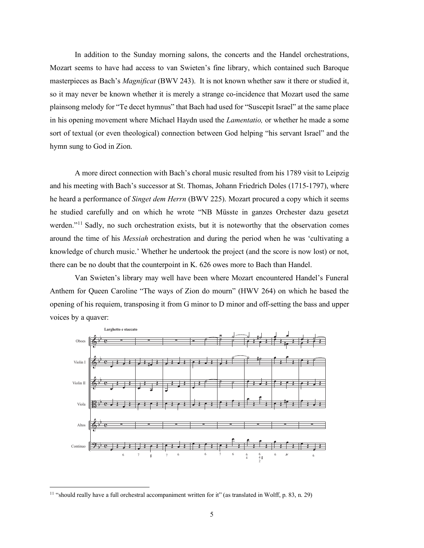In addition to the Sunday morning salons, the concerts and the Handel orchestrations, Mozart seems to have had access to van Swieten's fine library, which contained such Baroque masterpieces as Bach's *Magnificat* (BWV 243). It is not known whether saw it there or studied it, so it may never be known whether it is merely a strange co-incidence that Mozart used the same plainsong melody for "Te decet hymnus" that Bach had used for "Suscepit Israel" at the same place in his opening movement where Michael Haydn used the *Lamentatio,* or whether he made a some sort of textual (or even theological) connection between God helping "his servant Israel" and the hymn sung to God in Zion.

A more direct connection with Bach's choral music resulted from his 1789 visit to Leipzig and his meeting with Bach's successor at St. Thomas, Johann Friedrich Doles (1715-1797), where he heard a performance of *Singet dem Herrn* (BWV 225). Mozart procured a copy which it seems he studied carefully and on which he wrote "NB Müsste in ganzes Orchester dazu gesetzt werden."<sup>11</sup> Sadly, no such orchestration exists, but it is noteworthy that the observation comes around the time of his *Messiah* orchestration and during the period when he was 'cultivating a knowledge of church music.' Whether he undertook the project (and the score is now lost) or not, there can be no doubt that the counterpoint in K. 626 owes more to Bach than Handel.

Van Swieten's library may well have been where Mozart encountered Handel's Funeral Anthem for Queen Caroline "The ways of Zion do mourn" (HWV 264) on which he based the opening of his requiem, transposing it from G minor to D minor and off-setting the bass and upper voices by a quaver:



<sup>&</sup>lt;sup>11</sup> "should really have a full orchestral accompaniment written for it" (as translated in Wolff, p. 83, n. 29)

b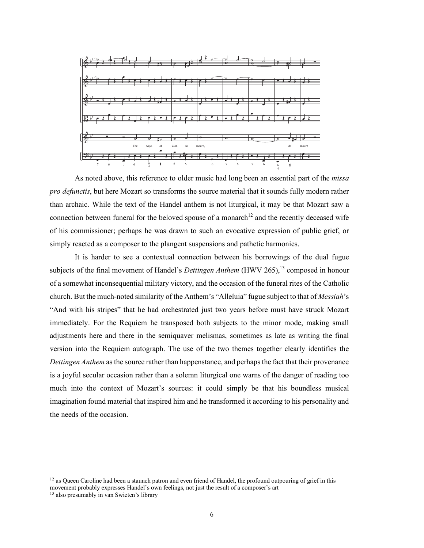

As noted above, this reference to older music had long been an essential part of the *missa pro defunctis*, but here Mozart so transforms the source material that it sounds fully modern rather than archaic. While the text of the Handel anthem is not liturgical, it may be that Mozart saw a connection between funeral for the beloved spouse of a monarch<sup>12</sup> and the recently deceased wife of his commissioner; perhaps he was drawn to such an evocative expression of public grief, or simply reacted as a composer to the plangent suspensions and pathetic harmonies.

It is harder to see a contextual connection between his borrowings of the dual fugue subjects of the final movement of Handel's *Dettingen Anthem* (HWV 265), <sup>13</sup> composed in honour of a somewhat inconsequential military victory, and the occasion of the funeral rites of the Catholic church. But the much-noted similarity of the Anthem's "Alleluia" fugue subject to that of *Messiah*'s "And with his stripes" that he had orchestrated just two years before must have struck Mozart immediately. For the Requiem he transposed both subjects to the minor mode, making small adjustments here and there in the semiquaver melismas, sometimes as late as writing the final version into the Requiem autograph. The use of the two themes together clearly identifies the *Dettingen Anthem* as the source rather than happenstance, and perhaps the fact that their provenance is a joyful secular occasion rather than a solemn liturgical one warns of the danger of reading too much into the context of Mozart's sources: it could simply be that his boundless musical imagination found material that inspired him and he transformed it according to his personality and the needs of the occasion.

 $12$  as Queen Caroline had been a staunch patron and even friend of Handel, the profound outpouring of grief in this movement probably expresses Handel's own feelings, not just the result of a composer's art

<sup>13</sup> also presumably in van Swieten's library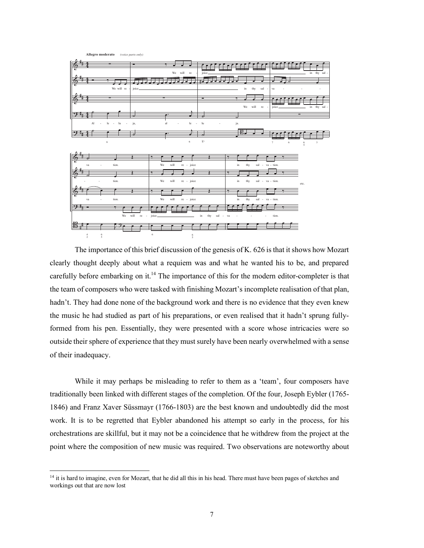| Allegro moderato (voice parts only)                             |                                  |                             |                    |                                             |
|-----------------------------------------------------------------|----------------------------------|-----------------------------|--------------------|---------------------------------------------|
|                                                                 |                                  |                             |                    |                                             |
|                                                                 |                                  |                             |                    |                                             |
|                                                                 |                                  | We will re                  |                    |                                             |
|                                                                 |                                  | joice_                      |                    | in thy sal -                                |
|                                                                 |                                  |                             |                    |                                             |
|                                                                 |                                  |                             |                    |                                             |
|                                                                 | We will re<br>joice.             |                             | in<br>thy          | sal -<br>va                                 |
|                                                                 |                                  |                             |                    |                                             |
|                                                                 |                                  |                             | ÷                  |                                             |
|                                                                 |                                  |                             |                    |                                             |
|                                                                 |                                  |                             | We will re -       | in thy sal -<br>joice.                      |
|                                                                 |                                  |                             |                    |                                             |
|                                                                 |                                  |                             |                    |                                             |
| $\mathbf{Al}$<br>le<br>$-1u$<br>$\sim$                          | ja,<br>al<br>$\sim$              | $_{\rm le}$<br>lu<br>$\sim$ | ja.                |                                             |
|                                                                 |                                  |                             |                    |                                             |
|                                                                 |                                  |                             |                    |                                             |
|                                                                 |                                  |                             |                    |                                             |
| $\,$ 6 $\,$                                                     |                                  | $\overline{6}^-$<br>$\,$ 6  |                    | $\tau$<br>$\,$ 3 $\,$<br>6<br>$\frac{6}{5}$ |
|                                                                 |                                  |                             |                    |                                             |
|                                                                 |                                  |                             |                    |                                             |
|                                                                 |                                  |                             |                    |                                             |
|                                                                 |                                  |                             |                    |                                             |
| tion.<br>va                                                     | We                               | will<br>re - joice          | $_{\rm in}$<br>thy | sal - va - tion.                            |
|                                                                 |                                  |                             |                    |                                             |
|                                                                 |                                  |                             |                    |                                             |
| tion.                                                           | We                               | $_{\rm will}$<br>re - joice | in<br>thy          | sal - va - tion.<br>etc.                    |
|                                                                 |                                  |                             |                    |                                             |
|                                                                 |                                  |                             |                    |                                             |
|                                                                 |                                  |                             |                    |                                             |
| tion.<br>va                                                     | $\rm{We}$                        | $_{\rm will}$<br>re - joice | in<br>thy          | sal - va - tion.                            |
| Ŧ                                                               |                                  |                             |                    |                                             |
|                                                                 |                                  |                             |                    |                                             |
|                                                                 | $\rm{We}$<br>will<br>re - joice_ | in<br>thy                   | sal<br>$-v$        | tion.<br>÷                                  |
|                                                                 |                                  |                             |                    |                                             |
|                                                                 |                                  |                             |                    |                                             |
|                                                                 |                                  |                             |                    |                                             |
| $\frac{6}{5}$<br>$\begin{smallmatrix} 4 \\ 2 \end{smallmatrix}$ | $\,$ 6                           | $\frac{6}{5}$               |                    |                                             |
|                                                                 |                                  |                             |                    |                                             |

The importance of this brief discussion of the genesis of K. 626 is that it shows how Mozart clearly thought deeply about what a requiem was and what he wanted his to be, and prepared carefully before embarking on it.<sup>14</sup> The importance of this for the modern editor-completer is that the team of composers who were tasked with finishing Mozart's incomplete realisation of that plan, hadn't. They had done none of the background work and there is no evidence that they even knew the music he had studied as part of his preparations, or even realised that it hadn't sprung fullyformed from his pen. Essentially, they were presented with a score whose intricacies were so outside their sphere of experience that they must surely have been nearly overwhelmed with a sense of their inadequacy.

While it may perhaps be misleading to refer to them as a 'team', four composers have traditionally been linked with different stages of the completion. Of the four, Joseph Eybler (1765- 1846) and Franz Xaver Süssmayr (1766-1803) are the best known and undoubtedly did the most work. It is to be regretted that Eybler abandoned his attempt so early in the process, for his orchestrations are skillful, but it may not be a coincidence that he withdrew from the project at the point where the composition of new music was required. Two observations are noteworthy about

<sup>&</sup>lt;sup>14</sup> it is hard to imagine, even for Mozart, that he did all this in his head. There must have been pages of sketches and workings out that are now lost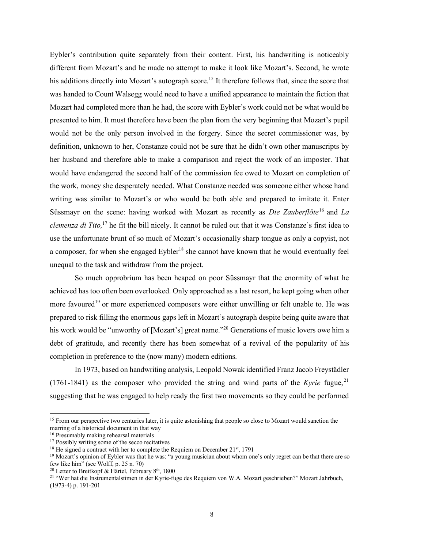Eybler's contribution quite separately from their content. First, his handwriting is noticeably different from Mozart's and he made no attempt to make it look like Mozart's. Second, he wrote his additions directly into Mozart's autograph score.<sup>15</sup> It therefore follows that, since the score that was handed to Count Walsegg would need to have a unified appearance to maintain the fiction that Mozart had completed more than he had, the score with Eybler's work could not be what would be presented to him. It must therefore have been the plan from the very beginning that Mozart's pupil would not be the only person involved in the forgery. Since the secret commissioner was, by definition, unknown to her, Constanze could not be sure that he didn't own other manuscripts by her husband and therefore able to make a comparison and reject the work of an imposter. That would have endangered the second half of the commission fee owed to Mozart on completion of the work, money she desperately needed. What Constanze needed was someone either whose hand writing was similar to Mozart's or who would be both able and prepared to imitate it. Enter Süssmayr on the scene: having worked with Mozart as recently as *Die Zauberflöte*<sup>16</sup> and *La clemenza di Tito,* <sup>17</sup> he fit the bill nicely. It cannot be ruled out that it was Constanze's first idea to use the unfortunate brunt of so much of Mozart's occasionally sharp tongue as only a copyist, not a composer, for when she engaged  $E$ ybler<sup>18</sup> she cannot have known that he would eventually feel unequal to the task and withdraw from the project.

So much opprobrium has been heaped on poor Süssmayr that the enormity of what he achieved has too often been overlooked. Only approached as a last resort, he kept going when other more favoured<sup>19</sup> or more experienced composers were either unwilling or felt unable to. He was prepared to risk filling the enormous gaps left in Mozart's autograph despite being quite aware that his work would be "unworthy of [Mozart's] great name."<sup>20</sup> Generations of music lovers owe him a debt of gratitude, and recently there has been somewhat of a revival of the popularity of his completion in preference to the (now many) modern editions.

In 1973, based on handwriting analysis, Leopold Nowak identified Franz Jacob Freystädler (1761-1841) as the composer who provided the string and wind parts of the *Kyrie* fugue,  $21$ suggesting that he was engaged to help ready the first two movements so they could be performed

<sup>&</sup>lt;sup>15</sup> From our perspective two centuries later, it is quite astonishing that people so close to Mozart would sanction the marring of a historical document in that way

<sup>16</sup> Presumably making rehearsal materials

<sup>&</sup>lt;sup>17</sup> Possibly writing some of the secco recitatives

 $18$  He signed a contract with her to complete the Requiem on December 21<sup>st</sup>, 1791

<sup>&</sup>lt;sup>19</sup> Mozart's opinion of Eybler was that he was: "a young musician about whom one's only regret can be that there are so few like him" (see Wolff, p. 25 n. 70)

<sup>&</sup>lt;sup>20</sup> Letter to Breitkopf & Härtel, February  $8<sup>th</sup>$ , 1800

<sup>&</sup>lt;sup>21</sup> "Wer hat die Instrumentalstimen in der Kyrie-fuge des Requiem von W.A. Mozart geschrieben?" Mozart Jahrbuch, (1973-4) p. 191-201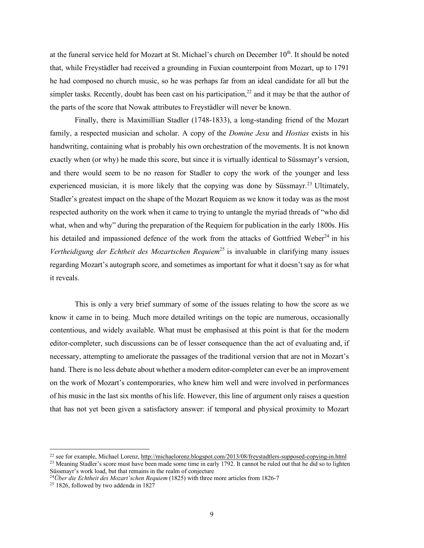at the funeral service held for Mozart at St. Michael's church on December 10<sup>th</sup>. It should be noted that, while Freystädler had received a grounding in Fuxian counterpoint from Mozart, up to 1791 he had composed no church music, so he was perhaps far from an ideal candidate for all but the simpler tasks. Recently, doubt has been cast on his participation,<sup>22</sup> and it may be that the author of the parts of the score that Nowak attributes to Freystädler will never be known.

Finally, there is Maximillian Stadler (1748-1833), a long-standing friend of the Mozart family, a respected musician and scholar. A copy of the *Domine Jesu* and *Hostias* exists in his handwriting, containing what is probably his own orchestration of the movements. It is not known exactly when (or why) he made this score, but since it is virtually identical to Süssmayr's version, and there would seem to be no reason for Stadler to copy the work of the younger and less experienced musician, it is more likely that the copying was done by Süssmayr.<sup>23</sup> Ultimately, Stadler's greatest impact on the shape of the Mozart Requiem as we know it today was as the most respected authority on the work when it came to trying to untangle the myriad threads of "who did what, when and why" during the preparation of the Requiem for publication in the early 1800s. His his detailed and impassioned defence of the work from the attacks of Gottfried Weber<sup>24</sup> in his *Vertheidigung der Echtheit des Mozartschen Requiem*<sup>25</sup> is invaluable in clarifying many issues regarding Mozart's autograph score, and sometimes as important for what it doesn't say as for what it reveals.

This is only a very brief summary of some of the issues relating to how the score as we know it came in to being. Much more detailed writings on the topic are numerous, occasionally contentious, and widely available. What must be emphasised at this point is that for the modern editor-completer, such discussions can be of lesser consequence than the act of evaluating and, if necessary, attempting to ameliorate the passages of the traditional version that are not in Mozart's hand. There is no less debate about whether a modern editor-completer can ever be an improvement on the work of Mozart's contemporaries, who knew him well and were involved in performances of his music in the last six months of his life. However, this line of argument only raises a question that has not yet been given a satisfactory answer: if temporal and physical proximity to Mozart

 <sup>22</sup> see for example, Michael Lorenz, http://michaelorenz.blogspot.com/2013/08/freystadtlers-supposed-copying-in.html <sup>23</sup> Meaning Stadler's score must have been made some time in early 1792. It cannot be ruled out that he did so to lighten Süssmayr's work load, but that remains in the realm of conjecture

<sup>24</sup>*Über die Echtheit des Mozart'schen Requiem* (1825) with three more articles from 1826-7

<sup>&</sup>lt;sup>25</sup> 1826, followed by two addenda in  $1827$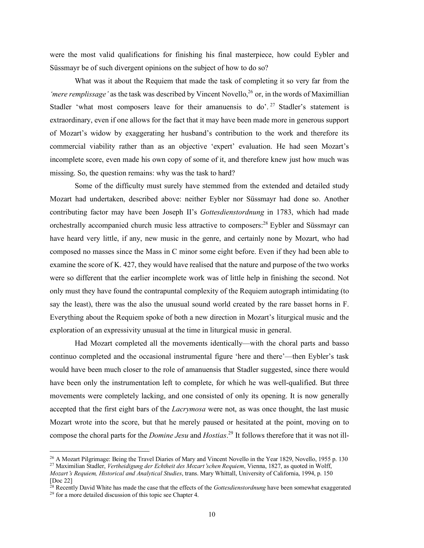were the most valid qualifications for finishing his final masterpiece, how could Eybler and Süssmayr be of such divergent opinions on the subject of how to do so?

What was it about the Requiem that made the task of completing it so very far from the *'mere remplissage'* as the task was described by Vincent Novello,<sup>26</sup> or, in the words of Maximillian Stadler 'what most composers leave for their amanuensis to  $do'$ . <sup>27</sup> Stadler's statement is extraordinary, even if one allows for the fact that it may have been made more in generous support of Mozart's widow by exaggerating her husband's contribution to the work and therefore its commercial viability rather than as an objective 'expert' evaluation. He had seen Mozart's incomplete score, even made his own copy of some of it, and therefore knew just how much was missing. So, the question remains: why was the task to hard?

Some of the difficulty must surely have stemmed from the extended and detailed study Mozart had undertaken, described above: neither Eybler nor Süssmayr had done so. Another contributing factor may have been Joseph II's *Gottesdienstordnung* in 1783, which had made orchestrally accompanied church music less attractive to composers:28 Eybler and Süssmayr can have heard very little, if any, new music in the genre, and certainly none by Mozart, who had composed no masses since the Mass in C minor some eight before. Even if they had been able to examine the score of K. 427, they would have realised that the nature and purpose of the two works were so different that the earlier incomplete work was of little help in finishing the second. Not only must they have found the contrapuntal complexity of the Requiem autograph intimidating (to say the least), there was the also the unusual sound world created by the rare basset horns in F. Everything about the Requiem spoke of both a new direction in Mozart's liturgical music and the exploration of an expressivity unusual at the time in liturgical music in general.

Had Mozart completed all the movements identically—with the choral parts and basso continuo completed and the occasional instrumental figure 'here and there'—then Eybler's task would have been much closer to the role of amanuensis that Stadler suggested, since there would have been only the instrumentation left to complete, for which he was well-qualified. But three movements were completely lacking, and one consisted of only its opening. It is now generally accepted that the first eight bars of the *Lacrymosa* were not, as was once thought, the last music Mozart wrote into the score, but that he merely paused or hesitated at the point, moving on to compose the choral parts for the *Domine Jesu* and *Hostias*. <sup>29</sup> It follows therefore that it was not ill-

<sup>&</sup>lt;sup>26</sup> A Mozart Pilgrimage: Being the Travel Diaries of Mary and Vincent Novello in the Year 1829, Novello, 1955 p. 130 <sup>27</sup> Maximilian Stadler, *Vertheidigung der Echtheit des Mozart*'*schen Requiem*, Vienna, 1827, as quoted in Wolff,

*Mozart*'*s Requiem, Historical and Analytical Studies*, trans. Mary Whittall, University of California, 1994, p. 150 [Doc 22]

<sup>28</sup> Recently David White has made the case that the effects of the *Gottesdienstordnung* have been somewhat exaggerated

<sup>29</sup> for a more detailed discussion of this topic see Chapter 4.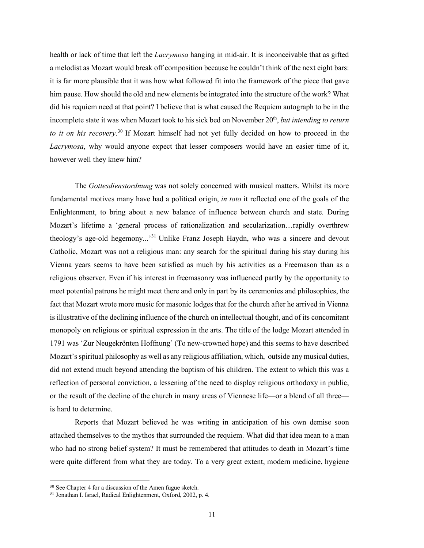health or lack of time that left the *Lacrymosa* hanging in mid-air. It is inconceivable that as gifted a melodist as Mozart would break off composition because he couldn't think of the next eight bars: it is far more plausible that it was how what followed fit into the framework of the piece that gave him pause. How should the old and new elements be integrated into the structure of the work? What did his requiem need at that point? I believe that is what caused the Requiem autograph to be in the incomplete state it was when Mozart took to his sick bed on November 20<sup>th</sup>, *but intending to return to it on his recovery*. <sup>30</sup> If Mozart himself had not yet fully decided on how to proceed in the *Lacrymosa*, why would anyone expect that lesser composers would have an easier time of it, however well they knew him?

The *Gottesdienstordnung* was not solely concerned with musical matters. Whilst its more fundamental motives many have had a political origin, *in toto* it reflected one of the goals of the Enlightenment, to bring about a new balance of influence between church and state. During Mozart's lifetime a 'general process of rationalization and secularization…rapidly overthrew theology's age-old hegemony...'<sup>31</sup> Unlike Franz Joseph Haydn, who was a sincere and devout Catholic, Mozart was not a religious man: any search for the spiritual during his stay during his Vienna years seems to have been satisfied as much by his activities as a Freemason than as a religious observer. Even if his interest in freemasonry was influenced partly by the opportunity to meet potential patrons he might meet there and only in part by its ceremonies and philosophies, the fact that Mozart wrote more music for masonic lodges that for the church after he arrived in Vienna is illustrative of the declining influence of the church on intellectual thought, and of its concomitant monopoly on religious or spiritual expression in the arts. The title of the lodge Mozart attended in 1791 was 'Zur Neugekrönten Hoffnung' (To new-crowned hope) and this seems to have described Mozart's spiritual philosophy as well as any religious affiliation, which, outside any musical duties, did not extend much beyond attending the baptism of his children. The extent to which this was a reflection of personal conviction, a lessening of the need to display religious orthodoxy in public, or the result of the decline of the church in many areas of Viennese life—or a blend of all three is hard to determine.

Reports that Mozart believed he was writing in anticipation of his own demise soon attached themselves to the mythos that surrounded the requiem. What did that idea mean to a man who had no strong belief system? It must be remembered that attitudes to death in Mozart's time were quite different from what they are today. To a very great extent, modern medicine, hygiene

 <sup>30</sup> See Chapter <sup>4</sup> for <sup>a</sup> discussion of the Amen fugue sketch.

<sup>31</sup> Jonathan I. Israel, Radical Enlightenment, Oxford, 2002, p. 4.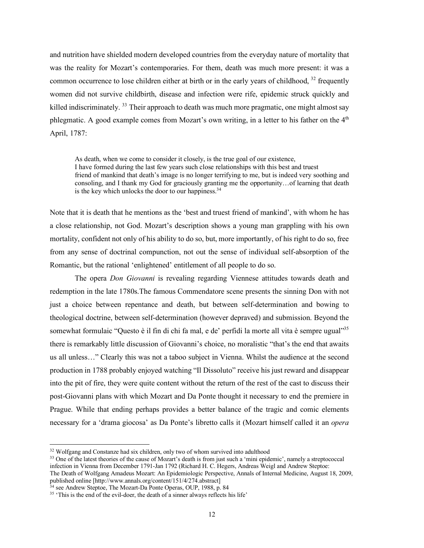and nutrition have shielded modern developed countries from the everyday nature of mortality that was the reality for Mozart's contemporaries. For them, death was much more present: it was a common occurrence to lose children either at birth or in the early years of childhood, <sup>32</sup> frequently women did not survive childbirth, disease and infection were rife, epidemic struck quickly and killed indiscriminately. <sup>33</sup> Their approach to death was much more pragmatic, one might almost say phlegmatic. A good example comes from Mozart's own writing, in a letter to his father on the  $4<sup>th</sup>$ April, 1787:

As death, when we come to consider it closely, is the true goal of our existence, I have formed during the last few years such close relationships with this best and truest friend of mankind that death's image is no longer terrifying to me, but is indeed very soothing and consoling, and I thank my God for graciously granting me the opportunity…of learning that death is the key which unlocks the door to our happiness.<sup>34</sup>

Note that it is death that he mentions as the 'best and truest friend of mankind', with whom he has a close relationship, not God. Mozart's description shows a young man grappling with his own mortality, confident not only of his ability to do so, but, more importantly, of his right to do so, free from any sense of doctrinal compunction, not out the sense of individual self-absorption of the Romantic, but the rational 'enlightened' entitlement of all people to do so.

The opera *Don Giovanni* is revealing regarding Viennese attitudes towards death and redemption in the late 1780s.The famous Commendatore scene presents the sinning Don with not just a choice between repentance and death, but between self-determination and bowing to theological doctrine, between self-determination (however depraved) and submission. Beyond the somewhat formulaic "Questo è il fin di chi fa mal, e de' perfidi la morte all vita è sempre ugual"<sup>35</sup> there is remarkably little discussion of Giovanni's choice, no moralistic "that's the end that awaits us all unless…" Clearly this was not a taboo subject in Vienna. Whilst the audience at the second production in 1788 probably enjoyed watching "Il Dissoluto" receive his just reward and disappear into the pit of fire, they were quite content without the return of the rest of the cast to discuss their post-Giovanni plans with which Mozart and Da Ponte thought it necessary to end the premiere in Prague. While that ending perhaps provides a better balance of the tragic and comic elements necessary for a 'drama giocosa' as Da Ponte's libretto calls it (Mozart himself called it an *opera*

<sup>&</sup>lt;sup>32</sup> Wolfgang and Constanze had six children, only two of whom survived into adulthood

<sup>&</sup>lt;sup>33</sup> One of the latest theories of the cause of Mozart's death is from just such a 'mini epidemic', namely a streptococcal infection in Vienna from December 1791-Jan 1792 (Richard H. C. Hegers, Andreas Weigl and Andrew Steptoe: The Death of Wolfgang Amadeus Mozart: An Epidemiologic Perspective, Annals of Internal Medicine, August 18, 2009, published online [http://www.annals.org/content/151/4/274.abstract]

<sup>&</sup>lt;sup>34</sup> see Andrew Steptoe, The Mozart-Da Ponte Operas, OUP, 1988, p. 84

<sup>&</sup>lt;sup>35</sup> 'This is the end of the evil-doer, the death of a sinner always reflects his life'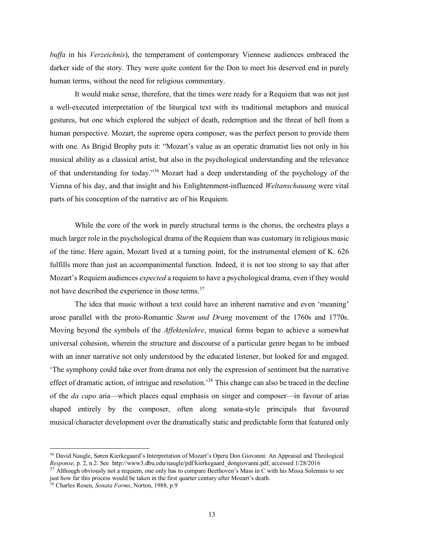*buffa* in his *Verzeichnis*), the temperament of contemporary Viennese audiences embraced the darker side of the story. They were quite content for the Don to meet his deserved end in purely human terms, without the need for religious commentary.

It would make sense, therefore, that the times were ready for a Requiem that was not just a well-executed interpretation of the liturgical text with its traditional metaphors and musical gestures, but one which explored the subject of death, redemption and the threat of hell from a human perspective. Mozart, the supreme opera composer, was the perfect person to provide them with one. As Brigid Brophy puts it: "Mozart's value as an operatic dramatist lies not only in his musical ability as a classical artist, but also in the psychological understanding and the relevance of that understanding for today."<sup>36</sup> Mozart had a deep understanding of the psychology of the Vienna of his day, and that insight and his Enlightenment-influenced *Weltanschauung* were vital parts of his conception of the narrative arc of his Requiem.

While the core of the work in purely structural terms is the chorus, the orchestra plays a much larger role in the psychological drama of the Requiem than was customary in religious music of the time. Here again, Mozart lived at a turning point, for the instrumental element of K. 626 fulfills more than just an accompanimental function. Indeed, it is not too strong to say that after Mozart's Requiem audiences *expected* a requiem to have a psychological drama, even if they would not have described the experience in those terms.<sup>37</sup>

The idea that music without a text could have an inherent narrative and even 'meaning' arose parallel with the proto-Romantic *Sturm und Drang* movement of the 1760s and 1770s. Moving beyond the symbols of the *Affektenlehre*, musical forms began to achieve a somewhat universal cohesion, wherein the structure and discourse of a particular genre began to be imbued with an inner narrative not only understood by the educated listener, but looked for and engaged. 'The symphony could take over from drama not only the expression of sentiment but the narrative effect of dramatic action, of intrigue and resolution.<sup>38</sup> This change can also be traced in the decline of the *da capo* aria—which places equal emphasis on singer and composer—in favour of arias shaped entirely by the composer, often along sonata-style principals that favoured musical/character development over the dramatically static and predictable form that featured only

 <sup>36</sup> David Naugle, Søren Kierkegaard's Interpretation of Mozart's Opera Don Giovanni: An Appraisal and Theological *Response,* p. 2, n.2. See http://www3.dbu.edu/naugle/pdf/kierkegaard\_dongiovanni.pdf, accessed 1/28/2016

 $37$  Although obviously not a requiem, one only has to compare Beethoven's Mass in C with his Missa Solemnis to see just how far this process would be taken in the first quarter century after Mozart's death.

<sup>38</sup> Charles Rosen, *Sonata Forms*, Norton, 1988, p.9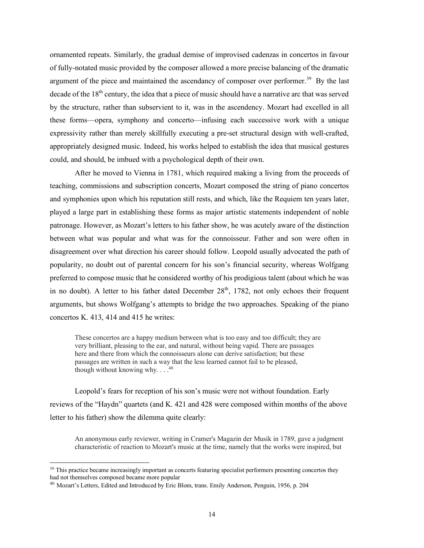ornamented repeats. Similarly, the gradual demise of improvised cadenzas in concertos in favour of fully-notated music provided by the composer allowed a more precise balancing of the dramatic argument of the piece and maintained the ascendancy of composer over performer.<sup>39</sup> By the last decade of the 18<sup>th</sup> century, the idea that a piece of music should have a narrative arc that was served by the structure, rather than subservient to it, was in the ascendency. Mozart had excelled in all these forms—opera, symphony and concerto—infusing each successive work with a unique expressivity rather than merely skillfully executing a pre-set structural design with well-crafted, appropriately designed music. Indeed, his works helped to establish the idea that musical gestures could, and should, be imbued with a psychological depth of their own.

After he moved to Vienna in 1781, which required making a living from the proceeds of teaching, commissions and subscription concerts, Mozart composed the string of piano concertos and symphonies upon which his reputation still rests, and which, like the Requiem ten years later, played a large part in establishing these forms as major artistic statements independent of noble patronage. However, as Mozart's letters to his father show, he was acutely aware of the distinction between what was popular and what was for the connoisseur. Father and son were often in disagreement over what direction his career should follow. Leopold usually advocated the path of popularity, no doubt out of parental concern for his son's financial security, whereas Wolfgang preferred to compose music that he considered worthy of his prodigious talent (about which he was in no doubt). A letter to his father dated December  $28<sup>th</sup>$ , 1782, not only echoes their frequent arguments, but shows Wolfgang's attempts to bridge the two approaches. Speaking of the piano concertos K. 413, 414 and 415 he writes:

These concertos are a happy medium between what is too easy and too difficult; they are very brilliant, pleasing to the ear, and natural, without being vapid. There are passages here and there from which the connoisseurs alone can derive satisfaction; but these passages are written in such a way that the less learned cannot fail to be pleased, though without knowing why.  $\ldots$ <sup>40</sup>

Leopold's fears for reception of his son's music were not without foundation. Early reviews of the "Haydn" quartets (and K. 421 and 428 were composed within months of the above letter to his father) show the dilemma quite clearly:

An anonymous early reviewer, writing in Cramer's Magazin der Musik in 1789, gave a judgment characteristic of reaction to Mozart's music at the time, namely that the works were inspired, but

<sup>&</sup>lt;sup>39</sup> This practice became increasingly important as concerts featuring specialist performers presenting concertos they had not themselves composed became more popular

<sup>40</sup> Mozart's Letters, Edited and Introduced by Eric Blom, trans. Emily Anderson, Penguin, 1956, p. 204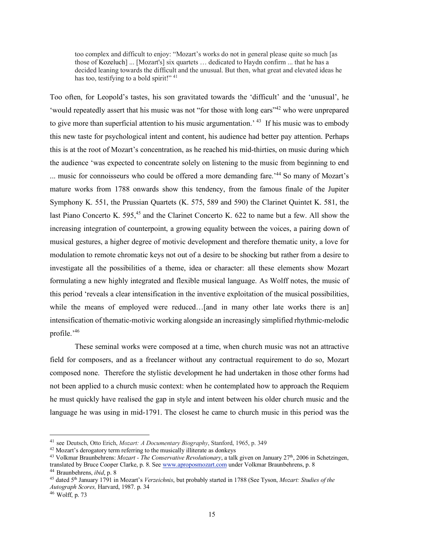too complex and difficult to enjoy: "Mozart's works do not in general please quite so much [as those of Kozeluch] ... [Mozart's] six quartets … dedicated to Haydn confirm ... that he has a decided leaning towards the difficult and the unusual. But then, what great and elevated ideas he has too, testifying to a bold spirit!" <sup>41</sup>

Too often, for Leopold's tastes, his son gravitated towards the 'difficult' and the 'unusual', he 'would repeatedly assert that his music was not "for those with long ears"42 who were unprepared to give more than superficial attention to his music argumentation.<sup>43</sup> If his music was to embody this new taste for psychological intent and content, his audience had better pay attention. Perhaps this is at the root of Mozart's concentration, as he reached his mid-thirties, on music during which the audience 'was expected to concentrate solely on listening to the music from beginning to end ... music for connoisseurs who could be offered a more demanding fare.<sup>244</sup> So many of Mozart's mature works from 1788 onwards show this tendency, from the famous finale of the Jupiter Symphony K. 551, the Prussian Quartets (K. 575, 589 and 590) the Clarinet Quintet K. 581, the last Piano Concerto K.  $595<sup>45</sup>$  and the Clarinet Concerto K. 622 to name but a few. All show the increasing integration of counterpoint, a growing equality between the voices, a pairing down of musical gestures, a higher degree of motivic development and therefore thematic unity, a love for modulation to remote chromatic keys not out of a desire to be shocking but rather from a desire to investigate all the possibilities of a theme, idea or character: all these elements show Mozart formulating a new highly integrated and flexible musical language. As Wolff notes, the music of this period 'reveals a clear intensification in the inventive exploitation of the musical possibilities, while the means of employed were reduced... [and in many other late works there is an] intensification of thematic-motivic working alongside an increasingly simplified rhythmic-melodic profile.' 46

These seminal works were composed at a time, when church music was not an attractive field for composers, and as a freelancer without any contractual requirement to do so, Mozart composed none. Therefore the stylistic development he had undertaken in those other forms had not been applied to a church music context: when he contemplated how to approach the Requiem he must quickly have realised the gap in style and intent between his older church music and the language he was using in mid-1791. The closest he came to church music in this period was the

 <sup>41</sup> see Deutsch, Otto Erich, *Mozart: <sup>A</sup> Documentary Biography*, Stanford, 1965, p. <sup>349</sup>

<sup>42</sup> Mozart's derogatory term referring to the musically illiterate as donkeys

<sup>43</sup> Volkmar Braunbehrens: *Mozart - The Conservative Revolutionary*, a talk given on January 27th, 2006 in Schetzingen, translated by Bruce Cooper Clarke, p. 8. See www.aproposmozart.com under Volkmar Braunbehrens, p. 8

<sup>44</sup> Braunbehrens, *ibid*, p. 8

<sup>45</sup> dated 5th January 1791 in Mozart's *Verzeichnis*, but probably started in 1788 (See Tyson, *Mozart: Studies of the Autograph Scores,* Harvard, 1987. p. 34

<sup>46</sup> Wolff, p. 73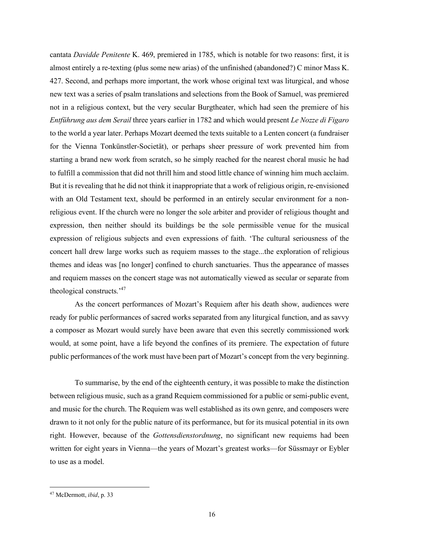cantata *Davidde Penitente* K. 469, premiered in 1785, which is notable for two reasons: first, it is almost entirely a re-texting (plus some new arias) of the unfinished (abandoned?) C minor Mass K. 427. Second, and perhaps more important, the work whose original text was liturgical, and whose new text was a series of psalm translations and selections from the Book of Samuel, was premiered not in a religious context, but the very secular Burgtheater, which had seen the premiere of his *Entführung aus dem Serail* three years earlier in 1782 and which would present *Le Nozze di Figaro* to the world a year later. Perhaps Mozart deemed the texts suitable to a Lenten concert (a fundraiser for the Vienna Tonkünstler-Societät), or perhaps sheer pressure of work prevented him from starting a brand new work from scratch, so he simply reached for the nearest choral music he had to fulfill a commission that did not thrill him and stood little chance of winning him much acclaim. But it is revealing that he did not think it inappropriate that a work of religious origin, re-envisioned with an Old Testament text, should be performed in an entirely secular environment for a nonreligious event. If the church were no longer the sole arbiter and provider of religious thought and expression, then neither should its buildings be the sole permissible venue for the musical expression of religious subjects and even expressions of faith. 'The cultural seriousness of the concert hall drew large works such as requiem masses to the stage...the exploration of religious themes and ideas was [no longer] confined to church sanctuaries. Thus the appearance of masses and requiem masses on the concert stage was not automatically viewed as secular or separate from theological constructs.' 47

As the concert performances of Mozart's Requiem after his death show, audiences were ready for public performances of sacred works separated from any liturgical function, and as savvy a composer as Mozart would surely have been aware that even this secretly commissioned work would, at some point, have a life beyond the confines of its premiere. The expectation of future public performances of the work must have been part of Mozart's concept from the very beginning.

To summarise, by the end of the eighteenth century, it was possible to make the distinction between religious music, such as a grand Requiem commissioned for a public orsemi-public event, and music for the church. The Requiem was well established as its own genre, and composers were drawn to it not only for the public nature of its performance, but for its musical potential in its own right. However, because of the *Gottensdienstordnung*, no significant new requiems had been written for eight years in Vienna—the years of Mozart's greatest works—for Süssmayr or Eybler to use as a model.

 <sup>47</sup> McDermott, *ibid*, p. <sup>33</sup>